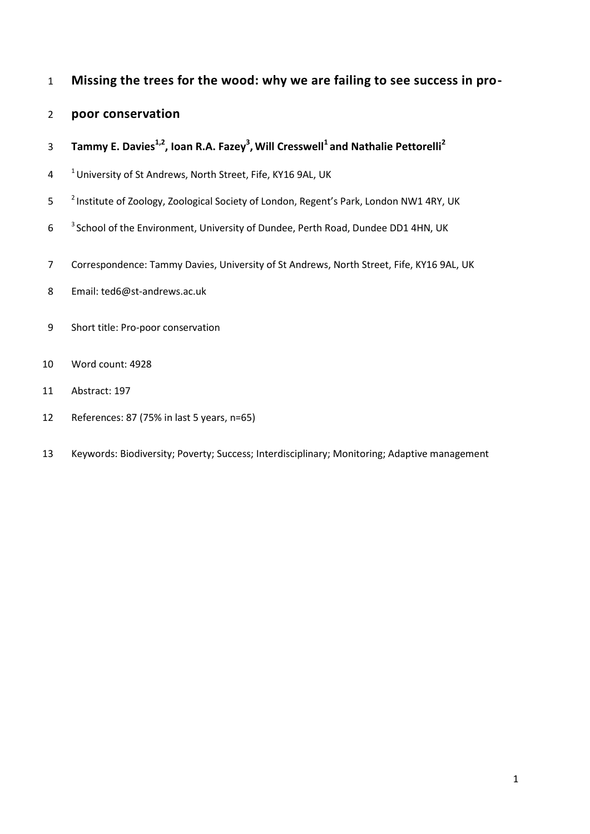# **Missing the trees for the wood: why we are failing to see success in pro-**

# **poor conservation**

- **Tammy E. Davies1,2 , Ioan R.A. Fazey<sup>3</sup> , Will Cresswell <sup>1</sup>and Nathalie Pettorelli<sup>2</sup>**
- <sup>1</sup> University of St Andrews, North Street, Fife, KY16 9AL, UK
- 5 <sup>2</sup> Institute of Zoology, Zoological Society of London, Regent's Park, London NW1 4RY, UK
- 6 <sup>3</sup> School of the Environment, University of Dundee, Perth Road, Dundee DD1 4HN, UK
- Correspondence: Tammy Davies, University of St Andrews, North Street, Fife, KY16 9AL, UK
- Email: ted6@st-andrews.ac.uk
- Short title: Pro-poor conservation
- Word count: 4928
- Abstract: 197
- References: 87 (75% in last 5 years, n=65)
- Keywords: Biodiversity; Poverty; Success; Interdisciplinary; Monitoring; Adaptive management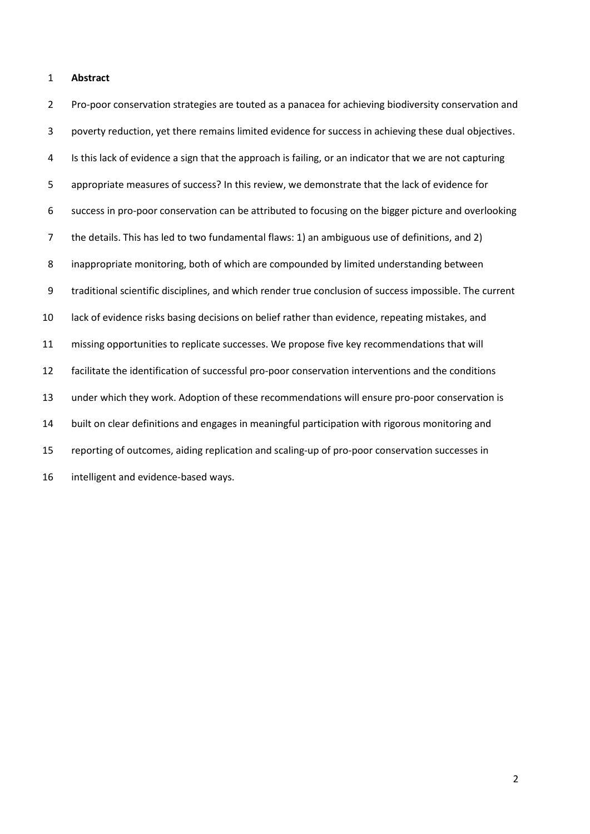#### **Abstract**

 Pro-poor conservation strategies are touted as a panacea for achieving biodiversity conservation and poverty reduction, yet there remains limited evidence for success in achieving these dual objectives. 4 Is this lack of evidence a sign that the approach is failing, or an indicator that we are not capturing appropriate measures of success? In this review, we demonstrate that the lack of evidence for success in pro-poor conservation can be attributed to focusing on the bigger picture and overlooking the details. This has led to two fundamental flaws: 1) an ambiguous use of definitions, and 2) inappropriate monitoring, both of which are compounded by limited understanding between traditional scientific disciplines, and which render true conclusion of success impossible. The current lack of evidence risks basing decisions on belief rather than evidence, repeating mistakes, and missing opportunities to replicate successes. We propose five key recommendations that will facilitate the identification of successful pro-poor conservation interventions and the conditions under which they work. Adoption of these recommendations will ensure pro-poor conservation is built on clear definitions and engages in meaningful participation with rigorous monitoring and reporting of outcomes, aiding replication and scaling-up of pro-poor conservation successes in intelligent and evidence-based ways.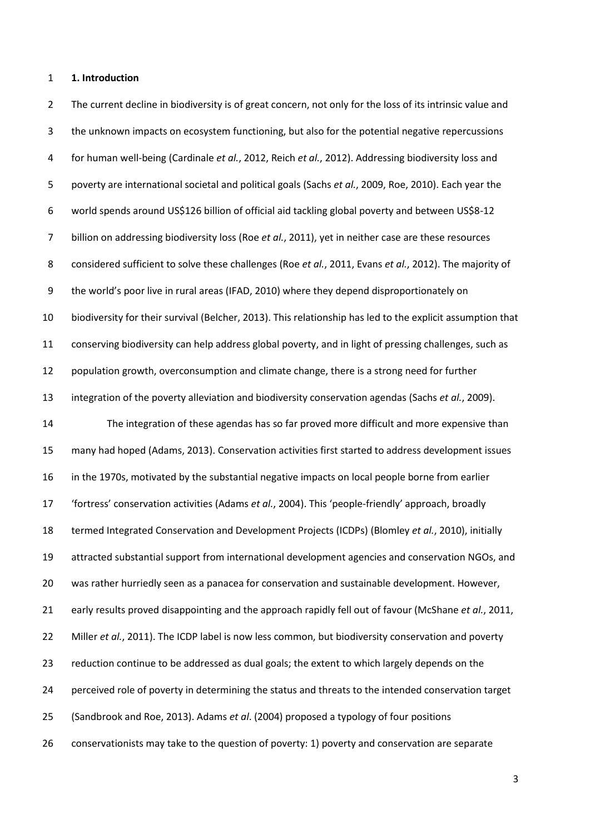#### **1. Introduction**

2 The current decline in biodiversity is of great concern, not only for the loss of its intrinsic value and the unknown impacts on ecosystem functioning, but also for the potential negative repercussions for human well-being [\(Cardinale](#page-17-0) *et al.*, 2012, Reich *et al.*[, 2012\)](#page-21-0). Addressing biodiversity loss and poverty are international societal and political goals (Sachs *et al.*[, 2009,](#page-22-0) [Roe, 2010\)](#page-22-1). Each year the world spends around US\$126 billion of official aid tackling global poverty and between US\$8-12 billion on addressing biodiversity loss (Roe *et al.*[, 2011\)](#page-22-2), yet in neither case are these resources considered sufficient to solve these challenges (Roe *et al.*[, 2011,](#page-22-2) Evans *et al.*[, 2012\)](#page-18-0). The majority of the world's poor live in rural areas [\(IFAD, 2010\)](#page-19-0) where they depend disproportionately on biodiversity for their survival [\(Belcher, 2013\)](#page-16-0). This relationship has led to the explicit assumption that conserving biodiversity can help address global poverty, and in light of pressing challenges, such as population growth, overconsumption and climate change, there is a strong need for further integration of the poverty alleviation and biodiversity conservation agendas (Sachs *et al.*[, 2009\)](#page-22-0). The integration of these agendas has so far proved more difficult and more expensive than many had hoped [\(Adams, 2013\)](#page-16-1). Conservation activities first started to address development issues in the 1970s, motivated by the substantial negative impacts on local people borne from earlier 'fortress' conservation activities [\(Adams](#page-16-2) *et al.*, 2004). This 'people-friendly' approach, broadly termed Integrated Conservation and Development Projects (ICDPs) [\(Blomley](#page-17-1) *et al.*, 2010), initially attracted substantial support from international development agencies and conservation NGOs, and was rather hurriedly seen as a panacea for conservation and sustainable development. However, early results proved disappointing and the approach rapidly fell out of favour [\(McShane](#page-20-0) *et al.*, 2011, Miller *et al.*[, 2011\)](#page-20-1). The ICDP label is now less common, but biodiversity conservation and poverty reduction continue to be addressed as dual goals; the extent to which largely depends on the perceived role of poverty in determining the status and threats to the intended conservation target [\(Sandbrook and Roe, 2013\)](#page-22-3). Adams *et al*. (2004) proposed a typology of four positions conservationists may take to the question of poverty: 1) poverty and conservation are separate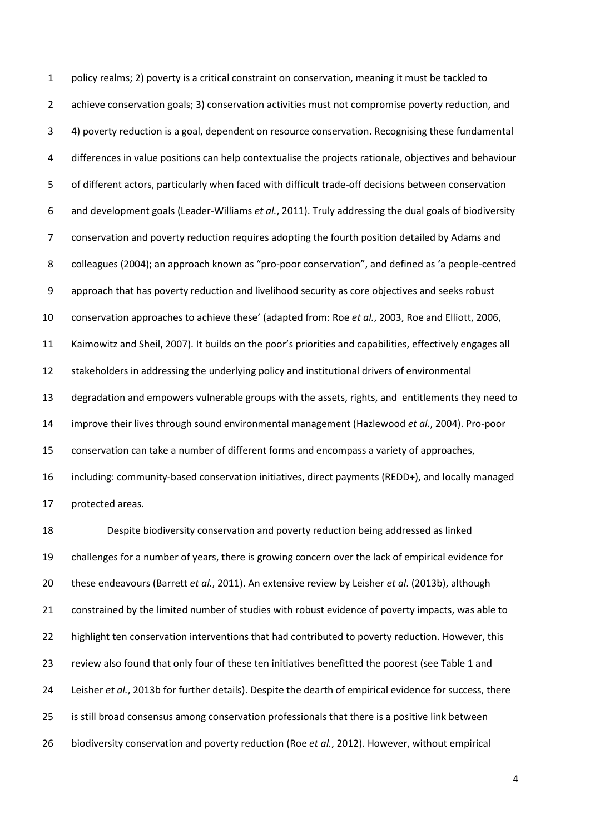policy realms; 2) poverty is a critical constraint on conservation, meaning it must be tackled to achieve conservation goals; 3) conservation activities must not compromise poverty reduction, and 4) poverty reduction is a goal, dependent on resource conservation. Recognising these fundamental differences in value positions can help contextualise the projects rationale, objectives and behaviour of different actors, particularly when faced with difficult trade-off decisions between conservation and development goals [\(Leader-Williams](#page-19-1) *et al.*, 2011). Truly addressing the dual goals of biodiversity conservation and poverty reduction requires adopting the fourth position detailed by Adams and colleagues (2004); an approach known as "pro-poor conservation", and defined as 'a people-centred approach that has poverty reduction and livelihood security as core objectives and seeks robust conservation approaches to achieve these' (adapted from: Roe *et al.*[, 2003,](#page-22-4) [Roe and Elliott, 2006,](#page-22-5) [Kaimowitz and Sheil, 2007\)](#page-19-2). It builds on the poor's priorities and capabilities, effectively engages all stakeholders in addressing the underlying policy and institutional drivers of environmental degradation and empowers vulnerable groups with the assets, rights, and entitlements they need to improve their lives through sound environmental management [\(Hazlewood](#page-18-1) *et al.*, 2004). Pro-poor conservation can take a number of different forms and encompass a variety of approaches, including: community-based conservation initiatives, direct payments (REDD+), and locally managed protected areas.

 Despite biodiversity conservation and poverty reduction being addressed as linked challenges for a number of years, there is growing concern over the lack of empirical evidence for these endeavours [\(Barrett](#page-16-3) *et al.*, 2011). An extensive review by Leisher *et al*. (2013b), although constrained by the limited number of studies with robust evidence of poverty impacts, was able to 22 highlight ten conservation interventions that had contributed to poverty reduction. However, this review also found that only four of these ten initiatives benefitted the poorest [\(see Table 1 and](#page-19-3)  Leisher *et al.*[, 2013b for further details\)](#page-19-3). Despite the dearth of empirical evidence for success, there is still broad consensus among conservation professionals that there is a positive link between biodiversity conservation and poverty reduction (Roe *et al.*[, 2012\)](#page-22-6). However, without empirical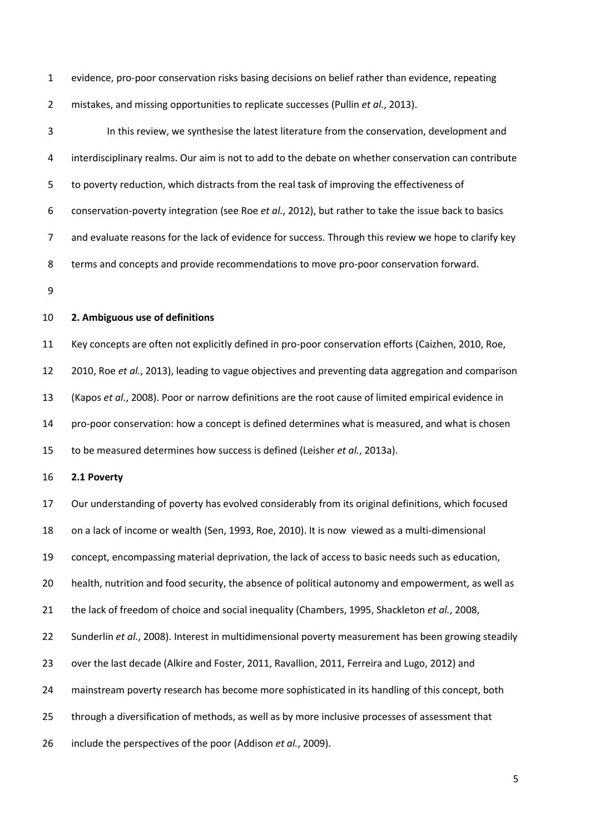evidence, pro-poor conservation risks basing decisions on belief rather than evidence, repeating

mistakes, and missing opportunities to replicate successes (Pullin *et al.*[, 2013\)](#page-21-1).

 In this review, we synthesise the latest literature from the conservation, development and interdisciplinary realms. Our aim is not to add to the debate on whether conservation can contribute to poverty reduction, which distracts from the real task of improving the effectiveness of conservation-poverty integration [\(see Roe](#page-22-6) *et al.*, 2012), but rather to take the issue back to basics and evaluate reasons for the lack of evidence for success. Through this review we hope to clarify key terms and concepts and provide recommendations to move pro-poor conservation forward. **2. Ambiguous use of definitions** Key concepts are often not explicitly defined in pro-poor conservation efforts [\(Caizhen, 2010,](#page-17-2) [Roe,](#page-22-1)  [2010,](#page-22-1) Roe *et al.*[, 2013\)](#page-22-7), leading to vague objectives and preventing data aggregation and comparison (Kapos *et al.*[, 2008\)](#page-19-4). Poor or narrow definitions are the root cause of limited empirical evidence in pro-poor conservation: how a concept is defined determines what is measured, and what is chosen to be measured determines how success is defined (Leisher *et al.*[, 2013a\)](#page-19-5). **2.1 Poverty** Our understanding of poverty has evolved considerably from its original definitions, which focused on a lack of income or wealth [\(Sen, 1993,](#page-23-0) [Roe, 2010\)](#page-22-1). It is now viewed as a multi-dimensional concept, encompassing material deprivation, the lack of access to basic needs such as education, health, nutrition and food security, the absence of political autonomy and empowerment, as well as the lack of freedom of choice and social inequality [\(Chambers, 1995,](#page-17-3) [Shackleton](#page-23-1) *et al.*, 2008, [Sunderlin](#page-23-2) *et al.*, 2008). Interest in multidimensional poverty measurement has been growing steadily over the last decade [\(Alkire and Foster, 2011,](#page-16-4) [Ravallion, 2011,](#page-21-2) [Ferreira and Lugo, 2012\)](#page-18-2) and mainstream poverty research has become more sophisticated in its handling of this concept, both through a diversification of methods, as well as by more inclusive processes of assessment that include the perspectives of the poor [\(Addison](#page-16-5) *et al.*, 2009).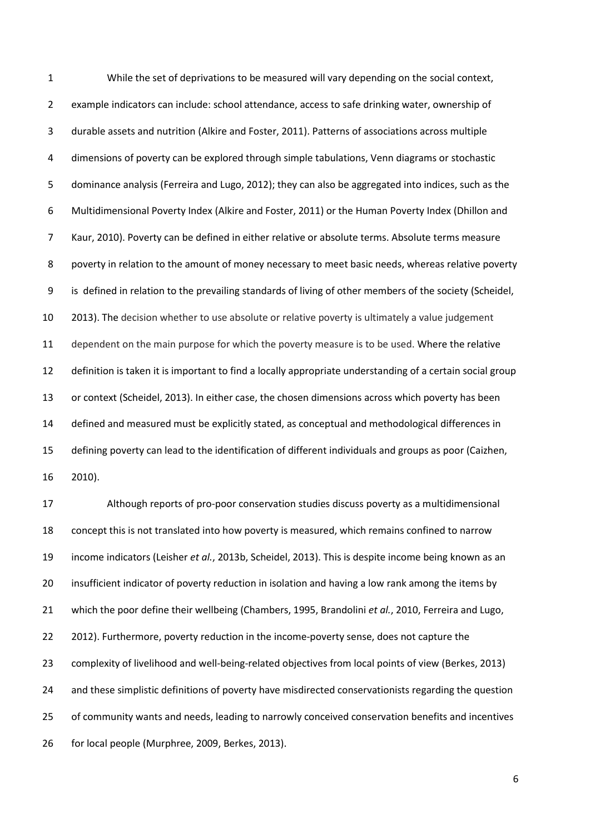While the set of deprivations to be measured will vary depending on the social context, example indicators can include: school attendance, access to safe drinking water, ownership of durable assets and nutrition [\(Alkire and Foster, 2011\)](#page-16-4). Patterns of associations across multiple dimensions of poverty can be explored through simple tabulations, Venn diagrams or stochastic dominance analysis [\(Ferreira and Lugo, 2012\)](#page-18-2); they can also be aggregated into indices, such as the Multidimensional Poverty Index [\(Alkire and Foster, 2011\)](#page-16-4) or the Human Poverty Index [\(Dhillon and](#page-18-3)  [Kaur, 2010\)](#page-18-3). Poverty can be defined in either relative or absolute terms. Absolute terms measure poverty in relation to the amount of money necessary to meet basic needs, whereas relative poverty is defined in relation to the prevailing standards of living of other members of the society [\(Scheidel,](#page-23-3)  [2013\)](#page-23-3). The decision whether to use absolute or relative poverty is ultimately a value judgement dependent on the main purpose for which the poverty measure is to be used. Where the relative definition is taken it is important to find a locally appropriate understanding of a certain social group or context [\(Scheidel, 2013\)](#page-23-3). In either case, the chosen dimensions across which poverty has been defined and measured must be explicitly stated, as conceptual and methodological differences in defining poverty can lead to the identification of different individuals and groups as poor [\(Caizhen,](#page-17-2)  [2010\)](#page-17-2). Although reports of pro-poor conservation studies discuss poverty as a multidimensional concept this is not translated into how poverty is measured, which remains confined to narrow

 income indicators (Leisher *et al.*[, 2013b,](#page-19-3) [Scheidel, 2013\)](#page-23-3). This is despite income being known as an insufficient indicator of poverty reduction in isolation and having a low rank among the items by

which the poor define their wellbeing [\(Chambers, 1995,](#page-17-3) [Brandolini](#page-17-4) *et al.*, 2010, [Ferreira and Lugo,](#page-18-2) 

[2012\)](#page-18-2). Furthermore, poverty reduction in the income-poverty sense, does not capture the

complexity of livelihood and well-being-related objectives from local points of view [\(Berkes, 2013\)](#page-16-6)

and these simplistic definitions of poverty have misdirected conservationists regarding the question

of community wants and needs, leading to narrowly conceived conservation benefits and incentives

for local people [\(Murphree, 2009,](#page-21-3) [Berkes, 2013\)](#page-16-6).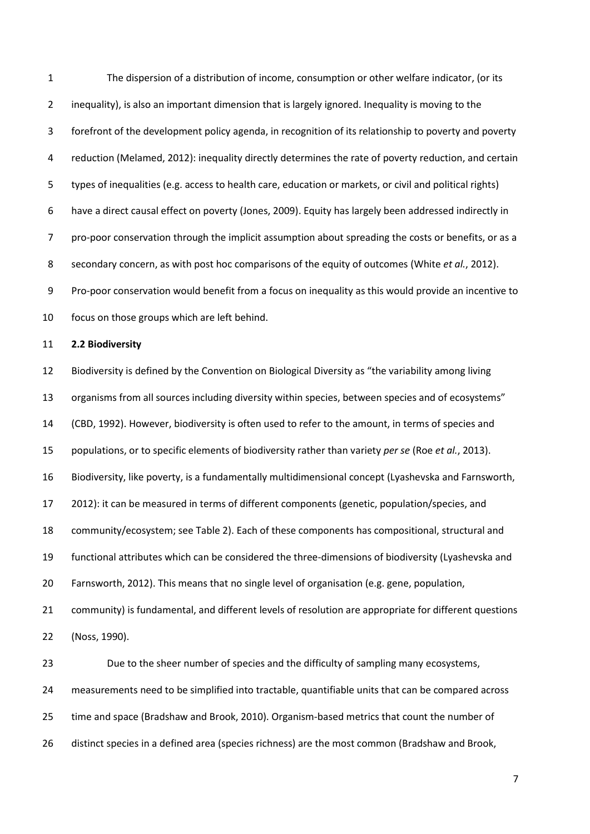The dispersion of a distribution of income, consumption or other welfare indicator, (or its inequality), is also an important dimension that is largely ignored. Inequality is moving to the forefront of the development policy agenda, in recognition of its relationship to poverty and poverty reduction [\(Melamed, 2012\)](#page-20-2): inequality directly determines the rate of poverty reduction, and certain types of inequalities (e.g. access to health care, education or markets, or civil and political rights) have a direct causal effect on poverty [\(Jones, 2009\)](#page-19-6). Equity has largely been addressed indirectly in pro-poor conservation through the implicit assumption about spreading the costs or benefits, or as a secondary concern, as with post hoc comparisons of the equity of outcomes [\(White](#page-24-0) *et al.*, 2012). Pro-poor conservation would benefit from a focus on inequality as this would provide an incentive to focus on those groups which are left behind. **2.2 Biodiversity** Biodiversity is defined by the Convention on Biological Diversity as "the variability among living organisms from all sources including diversity within species, between species and of ecosystems" [\(CBD, 1992\)](#page-17-5). However, biodiversity is often used to refer to the amount, in terms of species and populations, or to specific elements of biodiversity rather than variety *per se* (Roe *et al.*[, 2013\)](#page-22-7). Biodiversity, like poverty, is a fundamentally multidimensional concept [\(Lyashevska and Farnsworth,](#page-20-3)  [2012\)](#page-20-3): it can be measured in terms of different components (genetic, population/species, and community/ecosystem; see Table 2). Each of these components has compositional, structural and functional attributes which can be considered the three-dimensions of biodiversity [\(Lyashevska and](#page-20-3)  [Farnsworth, 2012\)](#page-20-3). This means that no single level of organisation (e.g. gene, population, community) is fundamental, and different levels of resolution are appropriate for different questions [\(Noss, 1990\)](#page-21-4). Due to the sheer number of species and the difficulty of sampling many ecosystems, measurements need to be simplified into tractable, quantifiable units that can be compared across time and space [\(Bradshaw and Brook, 2010\)](#page-17-6). Organism-based metrics that count the number of

distinct species in a defined area (species richness) are the most common [\(Bradshaw and Brook,](#page-17-6)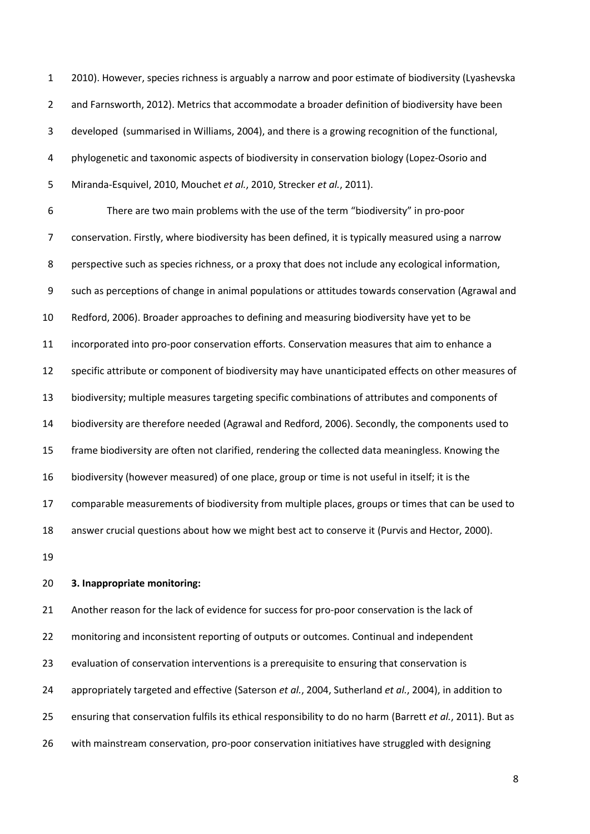[2010\)](#page-17-6). However, species richness is arguably a narrow and poor estimate of biodiversity [\(Lyashevska](#page-20-3)  [and Farnsworth, 2012\)](#page-20-3). Metrics that accommodate a broader definition of biodiversity have been developed [\(summarised in Williams, 2004\)](#page-24-1), and there is a growing recognition of the functional, phylogenetic and taxonomic aspects of biodiversity in conservation biology [\(Lopez-Osorio and](#page-20-4)  [Miranda-Esquivel, 2010,](#page-20-4) [Mouchet](#page-21-5) *et al.*, 2010, [Strecker](#page-23-4) *et al.*, 2011).

 There are two main problems with the use of the term "biodiversity" in pro-poor conservation. Firstly, where biodiversity has been defined, it is typically measured using a narrow perspective such as species richness, or a proxy that does not include any ecological information, such as perceptions of change in animal populations or attitudes towards conservation [\(Agrawal and](#page-16-7)  [Redford, 2006\)](#page-16-7). Broader approaches to defining and measuring biodiversity have yet to be incorporated into pro-poor conservation efforts. Conservation measures that aim to enhance a specific attribute or component of biodiversity may have unanticipated effects on other measures of biodiversity; multiple measures targeting specific combinations of attributes and components of biodiversity are therefore needed [\(Agrawal and Redford, 2006\)](#page-16-7). Secondly, the components used to frame biodiversity are often not clarified, rendering the collected data meaningless. Knowing the biodiversity (however measured) of one place, group or time is not useful in itself; it is the comparable measurements of biodiversity from multiple places, groups or times that can be used to answer crucial questions about how we might best act to conserve it [\(Purvis and Hector, 2000\)](#page-21-6).

### **3. Inappropriate monitoring:**

 Another reason for the lack of evidence for success for pro-poor conservation is the lack of monitoring and inconsistent reporting of outputs or outcomes. Continual and independent 23 evaluation of conservation interventions is a prerequisite to ensuring that conservation is appropriately targeted and effective [\(Saterson](#page-22-8) *et al.*, 2004, [Sutherland](#page-23-5) *et al.*, 2004), in addition to ensuring that conservation fulfils its ethical responsibility to do no harm [\(Barrett](#page-16-3) *et al.*, 2011). But as with mainstream conservation, pro-poor conservation initiatives have struggled with designing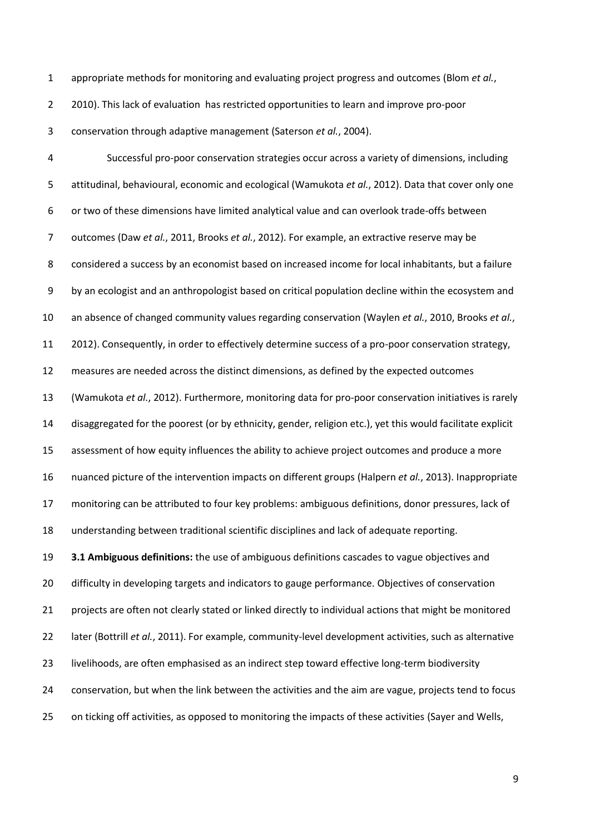appropriate methods for monitoring and evaluating project progress and outcomes [\(Blom](#page-16-8) *et al.*,

[2010\)](#page-16-8). This lack of evaluation has restricted opportunities to learn and improve pro-poor

conservation through adaptive management [\(Saterson](#page-22-8) *et al.*, 2004).

 Successful pro-poor conservation strategies occur across a variety of dimensions, including attitudinal, behavioural, economic and ecological [\(Wamukota](#page-23-6) *et al.*, 2012). Data that cover only one or two of these dimensions have limited analytical value and can overlook trade-offs between outcomes (Daw *et al.*[, 2011,](#page-18-4) [Brooks](#page-17-7) *et al.*, 2012). For example, an extractive reserve may be considered a success by an economist based on increased income for local inhabitants, but a failure by an ecologist and an anthropologist based on critical population decline within the ecosystem and an absence of changed community values regarding conservation [\(Waylen](#page-23-7) *et al.*, 2010, [Brooks](#page-17-7) *et al.*, [2012\)](#page-17-7). Consequently, in order to effectively determine success of a pro-poor conservation strategy, measures are needed across the distinct dimensions, as defined by the expected outcomes [\(Wamukota](#page-23-6) *et al.*, 2012). Furthermore, monitoring data for pro-poor conservation initiatives is rarely disaggregated for the poorest (or by ethnicity, gender, religion etc.), yet this would facilitate explicit assessment of how equity influences the ability to achieve project outcomes and produce a more nuanced picture of the intervention impacts on different groups [\(Halpern](#page-18-5) *et al.*, 2013). Inappropriate monitoring can be attributed to four key problems: ambiguous definitions, donor pressures, lack of understanding between traditional scientific disciplines and lack of adequate reporting. **3.1 Ambiguous definitions:** the use of ambiguous definitions cascades to vague objectives and difficulty in developing targets and indicators to gauge performance. Objectives of conservation 21 projects are often not clearly stated or linked directly to individual actions that might be monitored later [\(Bottrill](#page-17-8) *et al.*, 2011). For example, community-level development activities, such as alternative 23 livelihoods, are often emphasised as an indirect step toward effective long-term biodiversity conservation, but when the link between the activities and the aim are vague, projects tend to focus on ticking off activities, as opposed to monitoring the impacts of these activities [\(Sayer and Wells,](#page-23-8)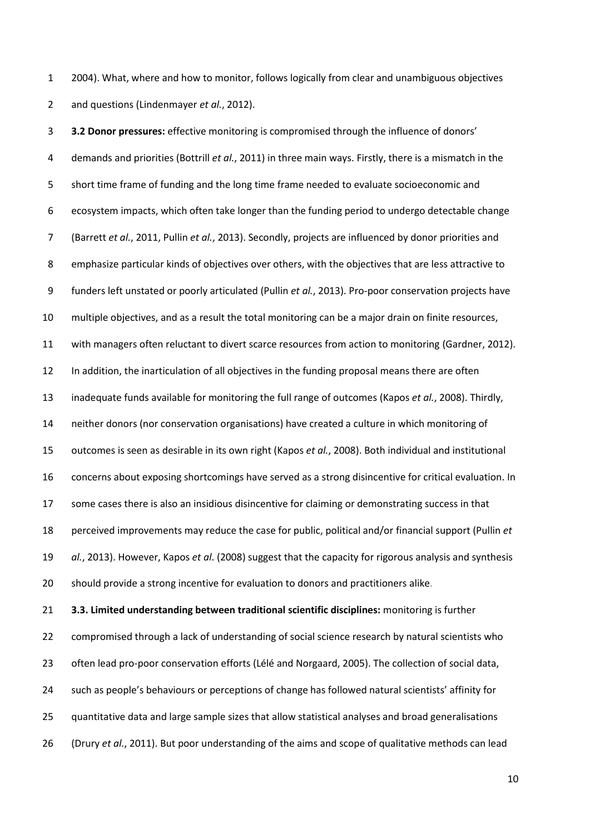[2004\)](#page-23-8). What, where and how to monitor, follows logically from clear and unambiguous objectives and questions [\(Lindenmayer](#page-20-5) *et al.*, 2012).

 **3.2 Donor pressures:** effective monitoring is compromised through the influence of donors' demands and priorities [\(Bottrill](#page-17-8) *et al.*, 2011) in three main ways. Firstly, there is a mismatch in the short time frame of funding and the long time frame needed to evaluate socioeconomic and ecosystem impacts, which often take longer than the funding period to undergo detectable change [\(Barrett](#page-16-3) *et al.*, 2011, Pullin *et al.*[, 2013\)](#page-21-1). Secondly, projects are influenced by donor priorities and emphasize particular kinds of objectives over others, with the objectives that are less attractive to funders left unstated or poorly articulated (Pullin *et al.*[, 2013\)](#page-21-1). Pro-poor conservation projects have multiple objectives, and as a result the total monitoring can be a major drain on finite resources, with managers often reluctant to divert scarce resources from action to monitoring [\(Gardner, 2012\)](#page-18-6). In addition, the inarticulation of all objectives in the funding proposal means there are often inadequate funds available for monitoring the full range of outcomes (Kapos *et al.*[, 2008\)](#page-19-4). Thirdly, neither donors (nor conservation organisations) have created a culture in which monitoring of outcomes is seen as desirable in its own right [\(Kapos](#page-19-4) *et al.*, 2008). Both individual and institutional concerns about exposing shortcomings have served as a strong disincentive for critical evaluation. In 17 some cases there is also an insidious disincentive for claiming or demonstrating success in that perceived improvements may reduce the case for public, political and/or financial support [\(Pullin](#page-21-1) *et al.*[, 2013\)](#page-21-1). However, Kapos *et al*. (2008) suggest that the capacity for rigorous analysis and synthesis should provide a strong incentive for evaluation to donors and practitioners alike. **3.3. Limited understanding between traditional scientific disciplines:** monitoring is further 22 compromised through a lack of understanding of social science research by natural scientists who often lead pro-poor conservation efforts [\(Lélé and Norgaard, 2005\)](#page-19-7). The collection of social data, such as people's behaviours or perceptions of change has followed natural scientists' affinity for

- quantitative data and large sample sizes that allow statistical analyses and broad generalisations
- (Drury *et al.*[, 2011\)](#page-18-7). But poor understanding of the aims and scope of qualitative methods can lead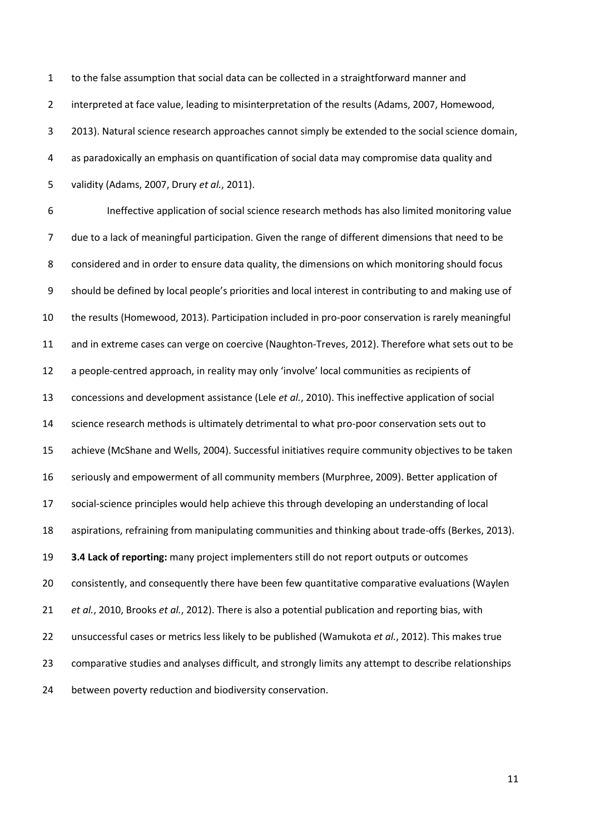to the false assumption that social data can be collected in a straightforward manner and interpreted at face value, leading to misinterpretation of the results [\(Adams, 2007,](#page-16-9) [Homewood,](#page-18-8)  [2013\)](#page-18-8). Natural science research approaches cannot simply be extended to the social science domain, as paradoxically an emphasis on quantification of social data may compromise data quality and validity [\(Adams, 2007,](#page-16-9) Drury *et al.*[, 2011\)](#page-18-7).

 Ineffective application of social science research methods has also limited monitoring value due to a lack of meaningful participation. Given the range of different dimensions that need to be considered and in order to ensure data quality, the dimensions on which monitoring should focus should be defined by local people's priorities and local interest in contributing to and making use of the results [\(Homewood, 2013\)](#page-18-8). Participation included in pro-poor conservation is rarely meaningful and in extreme cases can verge on coercive [\(Naughton-Treves, 2012\)](#page-21-7). Therefore what sets out to be a people-centred approach, in reality may only 'involve' local communities as recipients of concessions and development assistance (Lele *et al.*[, 2010\)](#page-20-6). This ineffective application of social science research methods is ultimately detrimental to what pro-poor conservation sets out to achieve [\(McShane and Wells, 2004\)](#page-20-7). Successful initiatives require community objectives to be taken seriously and empowerment of all community members [\(Murphree, 2009\)](#page-21-3). Better application of social-science principles would help achieve this through developing an understanding of local aspirations, refraining from manipulating communities and thinking about trade-offs [\(Berkes, 2013\)](#page-16-6). **3.4 Lack of reporting:** many project implementers still do not report outputs or outcomes consistently, and consequently there have been few quantitative comparative evaluations [\(Waylen](#page-23-7) *et al.*[, 2010,](#page-23-7) [Brooks](#page-17-7) *et al.*, 2012). There is also a potential publication and reporting bias, with unsuccessful cases or metrics less likely to be published [\(Wamukota](#page-23-6) *et al.*, 2012). This makes true comparative studies and analyses difficult, and strongly limits any attempt to describe relationships between poverty reduction and biodiversity conservation.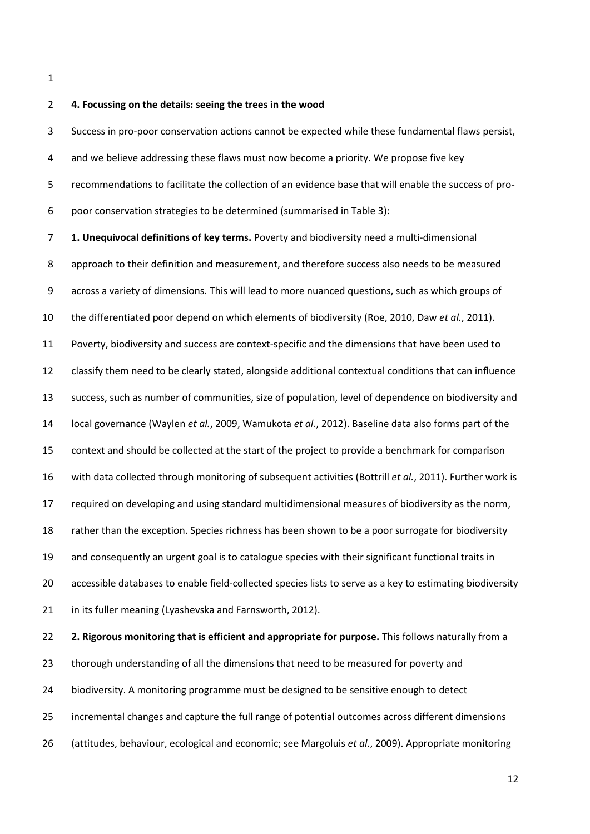## **4. Focussing on the details: seeing the trees in the wood**

 Success in pro-poor conservation actions cannot be expected while these fundamental flaws persist, 4 and we believe addressing these flaws must now become a priority. We propose five key recommendations to facilitate the collection of an evidence base that will enable the success of pro-poor conservation strategies to be determined (summarised in Table 3):

 **1. Unequivocal definitions of key terms.** Poverty and biodiversity need a multi-dimensional approach to their definition and measurement, and therefore success also needs to be measured across a variety of dimensions. This will lead to more nuanced questions, such as which groups of the differentiated poor depend on which elements of biodiversity [\(Roe, 2010,](#page-22-1) Daw *et al.*[, 2011\)](#page-18-4). Poverty, biodiversity and success are context-specific and the dimensions that have been used to classify them need to be clearly stated, alongside additional contextual conditions that can influence success, such as number of communities, size of population, level of dependence on biodiversity and local governance [\(Waylen](#page-24-2) *et al.*, 2009[, Wamukota](#page-23-6) *et al.*, 2012). Baseline data also forms part of the context and should be collected at the start of the project to provide a benchmark for comparison with data collected through monitoring of subsequent activities [\(Bottrill](#page-17-8) *et al.*, 2011). Further work is required on developing and using standard multidimensional measures of biodiversity as the norm, rather than the exception. Species richness has been shown to be a poor surrogate for biodiversity and consequently an urgent goal is to catalogue species with their significant functional traits in accessible databases to enable field-collected species lists to serve as a key to estimating biodiversity 21 in its fuller meaning [\(Lyashevska and Farnsworth, 2012\)](#page-20-3). **2. Rigorous monitoring that is efficient and appropriate for purpose.** This follows naturally from a thorough understanding of all the dimensions that need to be measured for poverty and

biodiversity. A monitoring programme must be designed to be sensitive enough to detect

incremental changes and capture the full range of potential outcomes across different dimensions

[\(attitudes, behaviour, ecological and economic; see Margoluis](#page-20-8) *et al.*, 2009). Appropriate monitoring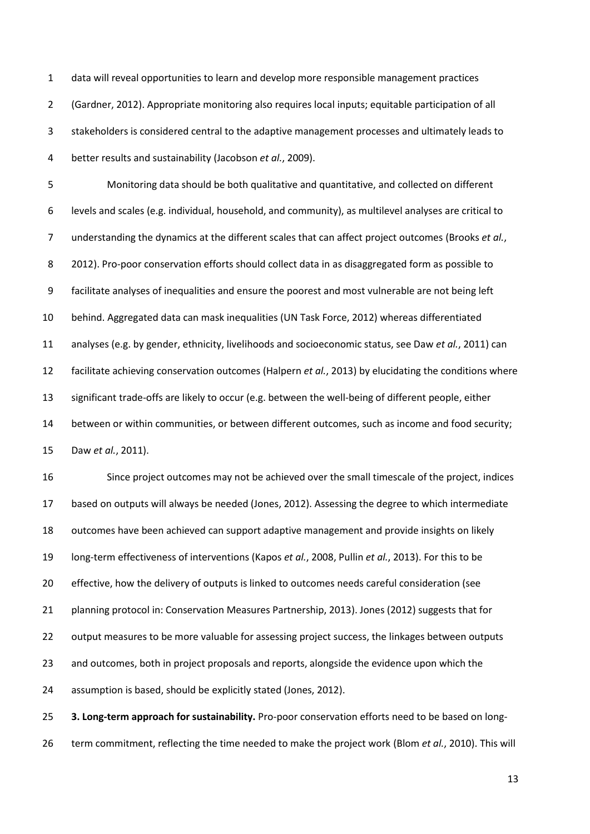data will reveal opportunities to learn and develop more responsible management practices [\(Gardner, 2012\)](#page-18-6). Appropriate monitoring also requires local inputs; equitable participation of all stakeholders is considered central to the adaptive management processes and ultimately leads to better results and sustainability [\(Jacobson](#page-19-8) *et al.*, 2009).

 Monitoring data should be both qualitative and quantitative, and collected on different levels and scales (e.g. individual, household, and community), as multilevel analyses are critical to understanding the dynamics at the different scales that can affect project outcomes [\(Brooks](#page-17-7) *et al.*, [2012\)](#page-17-7). Pro-poor conservation efforts should collect data in as disaggregated form as possible to facilitate analyses of inequalities and ensure the poorest and most vulnerable are not being left behind. Aggregated data can mask inequalities [\(UN Task Force, 2012\)](#page-23-9) whereas differentiated analyses [\(e.g. by gender, ethnicity, livelihoods and socioeconomic status, see Daw](#page-18-4) *et al.*, 2011) can facilitate achieving conservation outcomes [\(Halpern](#page-18-5) *et al.*, 2013) by elucidating the conditions where significant trade-offs are likely to occur [\(e.g. between the well-being of different people, either](#page-18-4)  [between or within communities, or between different outcomes, such as income and food security;](#page-18-4)  Daw *et al.*[, 2011\)](#page-18-4).

 Since project outcomes may not be achieved over the small timescale of the project, indices based on outputs will always be needed [\(Jones, 2012\)](#page-19-9). Assessing the degree to which intermediate outcomes have been achieved can support adaptive management and provide insights on likely long-term effectiveness of interventions (Kapos *et al.*[, 2008,](#page-19-4) Pullin *et al.*[, 2013\)](#page-21-1). For this to be effective, how the delivery of outputs is linked to outcomes needs careful consideration [\(see](#page-17-9)  [planning protocol in: Conservation Measures Partnership, 2013\)](#page-17-9). Jones (2012) suggests that for 22 output measures to be more valuable for assessing project success, the linkages between outputs 23 and outcomes, both in project proposals and reports, alongside the evidence upon which the assumption is based, should be explicitly stated [\(Jones, 2012\)](#page-19-9).

 **3. Long-term approach for sustainability.** Pro-poor conservation efforts need to be based on long-term commitment, reflecting the time needed to make the project work (Blom *et al.*[, 2010\)](#page-16-8). This will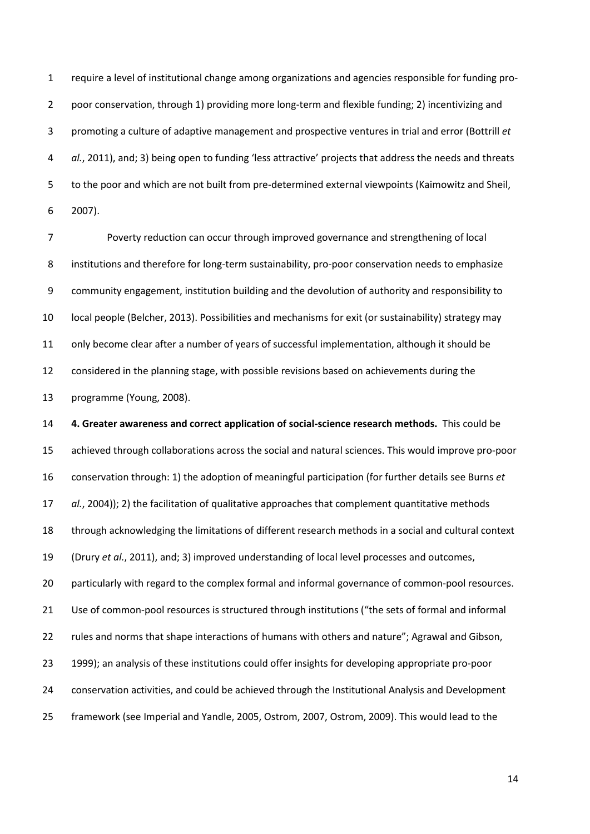require a level of institutional change among organizations and agencies responsible for funding pro- poor conservation, through 1) providing more long-term and flexible funding; 2) incentivizing and promoting a culture of adaptive management and prospective ventures in trial and error [\(Bottrill](#page-17-8) *et al.*[, 2011\)](#page-17-8), and; 3) being open to funding 'less attractive' projects that address the needs and threats to the poor and which are not built from pre-determined external viewpoints [\(Kaimowitz and Sheil,](#page-19-2)  [2007\)](#page-19-2).

 Poverty reduction can occur through improved governance and strengthening of local institutions and therefore for long-term sustainability, pro-poor conservation needs to emphasize community engagement, institution building and the devolution of authority and responsibility to local people [\(Belcher, 2013\)](#page-16-0). Possibilities and mechanisms for exit (or sustainability) strategy may only become clear after a number of years of successful implementation, although it should be considered in the planning stage, with possible revisions based on achievements during the programme [\(Young, 2008\)](#page-24-3).

 **4. Greater awareness and correct application of social-science research methods.** This could be achieved through collaborations across the social and natural sciences. This would improve pro-poor conservation through: 1) the adoption of meaningful participation [\(for further details see Burns](#page-17-10) *et al.*[, 2004\)](#page-17-10)); 2) the facilitation of qualitative approaches that complement quantitative methods through acknowledging the limitations of different research methods in a social and cultural context (Drury *et al.*[, 2011\)](#page-18-7), and; 3) improved understanding of local level processes and outcomes, particularly with regard to the complex formal and informal governance of common-pool resources. Use of common-pool resources is structured through institutions (["the sets of formal and informal](#page-16-10)  [rules and norms that shape interactions of humans](#page-16-10) with others and nature"; Agrawal and Gibson, [1999\)](#page-16-10); an analysis of these institutions could offer insights for developing appropriate pro-poor conservation activities, and could be achieved through the Institutional Analysis and Development framework (see [Imperial and Yandle, 2005,](#page-19-10) [Ostrom, 2007,](#page-21-8) [Ostrom, 2009\)](#page-21-9). This would lead to the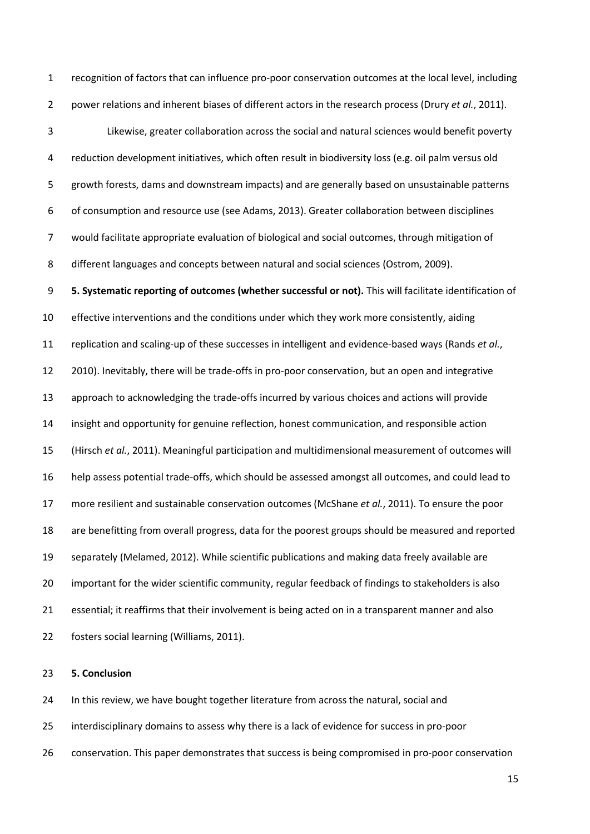recognition of factors that can influence pro-poor conservation outcomes at the local level, including power relations and inherent biases of different actors in the research process (Drury *et al.*[, 2011\)](#page-18-7).

 Likewise, greater collaboration across the social and natural sciences would benefit poverty reduction development initiatives, which often result in biodiversity loss (e.g. oil palm versus old growth forests, dams and downstream impacts) and are generally based on unsustainable patterns of consumption and resource use [\(see Adams, 2013\)](#page-16-1). Greater collaboration between disciplines would facilitate appropriate evaluation of biological and social outcomes, through mitigation of different languages and concepts between natural and social sciences [\(Ostrom, 2009\)](#page-21-9).

 **5. Systematic reporting of outcomes (whether successful or not).** This will facilitate identification of effective interventions and the conditions under which they work more consistently, aiding replication and scaling-up of these successes in intelligent and evidence-based ways [\(Rands](#page-21-10) *et al.*, [2010\)](#page-21-10). Inevitably, there will be trade-offs in pro-poor conservation, but an open and integrative approach to acknowledging the trade-offs incurred by various choices and actions will provide insight and opportunity for genuine reflection, honest communication, and responsible action [\(Hirsch](#page-18-9) *et al.*, 2011). Meaningful participation and multidimensional measurement of outcomes will help assess potential trade-offs, which should be assessed amongst all outcomes, and could lead to more resilient and sustainable conservation outcomes [\(McShane](#page-20-0) *et al.*, 2011). To ensure the poor are benefitting from overall progress, data for the poorest groups should be measured and reported separately [\(Melamed, 2012\)](#page-20-2). While scientific publications and making data freely available are important for the wider scientific community, regular feedback of findings to stakeholders is also essential; it reaffirms that their involvement is being acted on in a transparent manner and also fosters social learning [\(Williams, 2011\)](#page-24-4).

### **5. Conclusion**

In this review, we have bought together literature from across the natural, social and

- interdisciplinary domains to assess why there is a lack of evidence for success in pro-poor
- conservation. This paper demonstrates that success is being compromised in pro-poor conservation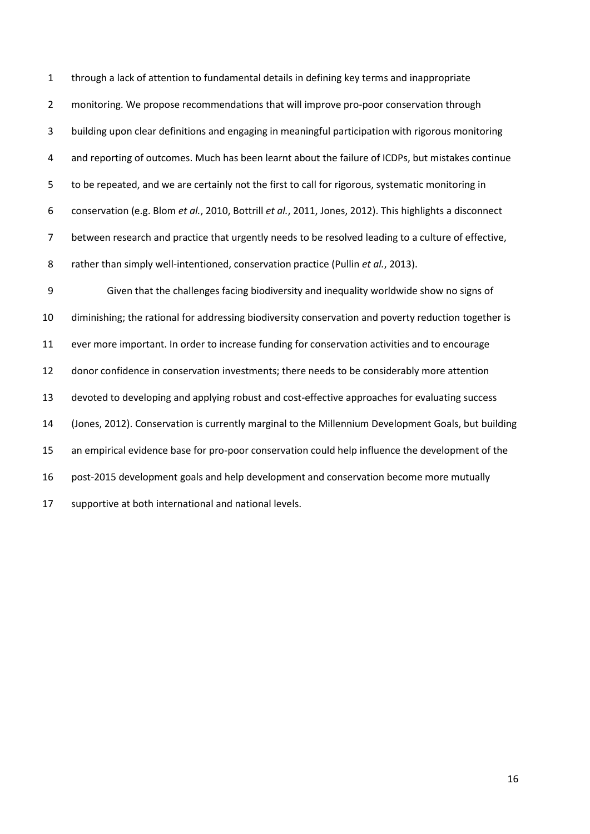through a lack of attention to fundamental details in defining key terms and inappropriate monitoring. We propose recommendations that will improve pro-poor conservation through building upon clear definitions and engaging in meaningful participation with rigorous monitoring and reporting of outcomes. Much has been learnt about the failure of ICDPs, but mistakes continue to be repeated, and we are certainly not the first to call for rigorous, systematic monitoring in conservation (e.g. Blom *et al.*[, 2010,](#page-16-8) [Bottrill](#page-17-8) *et al.*, 2011, [Jones, 2012\)](#page-19-9). This highlights a disconnect between research and practice that urgently needs to be resolved leading to a culture of effective, rather than simply well-intentioned, conservation practice (Pullin *et al.*[, 2013\)](#page-21-1).

 Given that the challenges facing biodiversity and inequality worldwide show no signs of diminishing; the rational for addressing biodiversity conservation and poverty reduction together is ever more important. In order to increase funding for conservation activities and to encourage donor confidence in conservation investments; there needs to be considerably more attention devoted to developing and applying robust and cost-effective approaches for evaluating success [\(Jones, 2012\)](#page-19-9). Conservation is currently marginal to the Millennium Development Goals, but building an empirical evidence base for pro-poor conservation could help influence the development of the post-2015 development goals and help development and conservation become more mutually supportive at both international and national levels.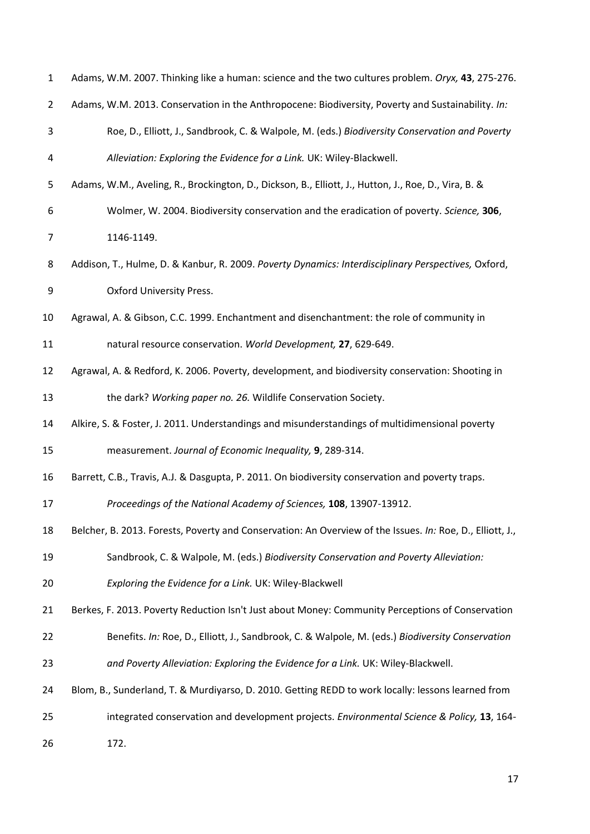<span id="page-16-10"></span><span id="page-16-9"></span><span id="page-16-8"></span><span id="page-16-7"></span><span id="page-16-6"></span><span id="page-16-5"></span><span id="page-16-4"></span><span id="page-16-3"></span><span id="page-16-2"></span><span id="page-16-1"></span><span id="page-16-0"></span>

| $\mathbf{1}$   | Adams, W.M. 2007. Thinking like a human: science and the two cultures problem. Oryx, 43, 275-276.         |
|----------------|-----------------------------------------------------------------------------------------------------------|
| $\overline{2}$ | Adams, W.M. 2013. Conservation in the Anthropocene: Biodiversity, Poverty and Sustainability. In:         |
| 3              | Roe, D., Elliott, J., Sandbrook, C. & Walpole, M. (eds.) Biodiversity Conservation and Poverty            |
| 4              | Alleviation: Exploring the Evidence for a Link. UK: Wiley-Blackwell.                                      |
| 5              | Adams, W.M., Aveling, R., Brockington, D., Dickson, B., Elliott, J., Hutton, J., Roe, D., Vira, B. &      |
| 6              | Wolmer, W. 2004. Biodiversity conservation and the eradication of poverty. Science, 306,                  |
| $\overline{7}$ | 1146-1149.                                                                                                |
| 8              | Addison, T., Hulme, D. & Kanbur, R. 2009. Poverty Dynamics: Interdisciplinary Perspectives, Oxford,       |
| 9              | <b>Oxford University Press.</b>                                                                           |
| 10             | Agrawal, A. & Gibson, C.C. 1999. Enchantment and disenchantment: the role of community in                 |
| 11             | natural resource conservation. World Development, 27, 629-649.                                            |
| 12             | Agrawal, A. & Redford, K. 2006. Poverty, development, and biodiversity conservation: Shooting in          |
| 13             | the dark? Working paper no. 26. Wildlife Conservation Society.                                            |
| 14             | Alkire, S. & Foster, J. 2011. Understandings and misunderstandings of multidimensional poverty            |
| 15             | measurement. Journal of Economic Inequality, 9, 289-314.                                                  |
| 16             | Barrett, C.B., Travis, A.J. & Dasgupta, P. 2011. On biodiversity conservation and poverty traps.          |
| 17             | Proceedings of the National Academy of Sciences, 108, 13907-13912.                                        |
| 18             | Belcher, B. 2013. Forests, Poverty and Conservation: An Overview of the Issues. In: Roe, D., Elliott, J., |
| 19             | Sandbrook, C. & Walpole, M. (eds.) Biodiversity Conservation and Poverty Alleviation:                     |
| 20             | Exploring the Evidence for a Link. UK: Wiley-Blackwell                                                    |
| 21             | Berkes, F. 2013. Poverty Reduction Isn't Just about Money: Community Perceptions of Conservation          |
| 22             | Benefits. In: Roe, D., Elliott, J., Sandbrook, C. & Walpole, M. (eds.) Biodiversity Conservation          |
| 23             | and Poverty Alleviation: Exploring the Evidence for a Link. UK: Wiley-Blackwell.                          |
| 24             | Blom, B., Sunderland, T. & Murdiyarso, D. 2010. Getting REDD to work locally: lessons learned from        |
| 25             | integrated conservation and development projects. Environmental Science & Policy, 13, 164-                |
| 26             | 172.                                                                                                      |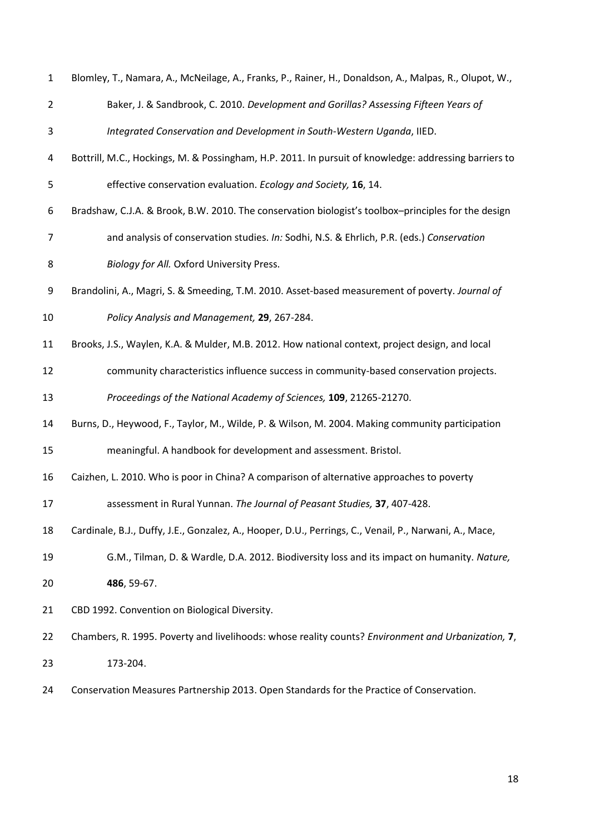<span id="page-17-10"></span><span id="page-17-9"></span><span id="page-17-8"></span><span id="page-17-7"></span><span id="page-17-6"></span><span id="page-17-5"></span><span id="page-17-4"></span><span id="page-17-3"></span><span id="page-17-2"></span><span id="page-17-1"></span><span id="page-17-0"></span>

| $\mathbf{1}$   | Blomley, T., Namara, A., McNeilage, A., Franks, P., Rainer, H., Donaldson, A., Malpas, R., Olupot, W., |
|----------------|--------------------------------------------------------------------------------------------------------|
| $\overline{2}$ | Baker, J. & Sandbrook, C. 2010. Development and Gorillas? Assessing Fifteen Years of                   |
| 3              | Integrated Conservation and Development in South-Western Uganda, IIED.                                 |
| 4              | Bottrill, M.C., Hockings, M. & Possingham, H.P. 2011. In pursuit of knowledge: addressing barriers to  |
| 5              | effective conservation evaluation. Ecology and Society, 16, 14.                                        |
| 6              | Bradshaw, C.J.A. & Brook, B.W. 2010. The conservation biologist's toolbox-principles for the design    |
| 7              | and analysis of conservation studies. In: Sodhi, N.S. & Ehrlich, P.R. (eds.) Conservation              |
| 8              | Biology for All. Oxford University Press.                                                              |
| 9              | Brandolini, A., Magri, S. & Smeeding, T.M. 2010. Asset-based measurement of poverty. Journal of        |
| 10             | Policy Analysis and Management, 29, 267-284.                                                           |
| 11             | Brooks, J.S., Waylen, K.A. & Mulder, M.B. 2012. How national context, project design, and local        |
| 12             | community characteristics influence success in community-based conservation projects.                  |
| 13             | Proceedings of the National Academy of Sciences, 109, 21265-21270.                                     |
| 14             | Burns, D., Heywood, F., Taylor, M., Wilde, P. & Wilson, M. 2004. Making community participation        |
| 15             | meaningful. A handbook for development and assessment. Bristol.                                        |
| 16             | Caizhen, L. 2010. Who is poor in China? A comparison of alternative approaches to poverty              |
| 17             | assessment in Rural Yunnan. The Journal of Peasant Studies, 37, 407-428.                               |
| 18             | Cardinale, B.J., Duffy, J.E., Gonzalez, A., Hooper, D.U., Perrings, C., Venail, P., Narwani, A., Mace, |
| 19             | G.M., Tilman, D. & Wardle, D.A. 2012. Biodiversity loss and its impact on humanity. Nature,            |
| 20             | 486, 59-67.                                                                                            |
| 21             | CBD 1992. Convention on Biological Diversity.                                                          |
| 22             | Chambers, R. 1995. Poverty and livelihoods: whose reality counts? Environment and Urbanization, 7,     |
| 23             | 173-204.                                                                                               |
| 24             | Conservation Measures Partnership 2013. Open Standards for the Practice of Conservation.               |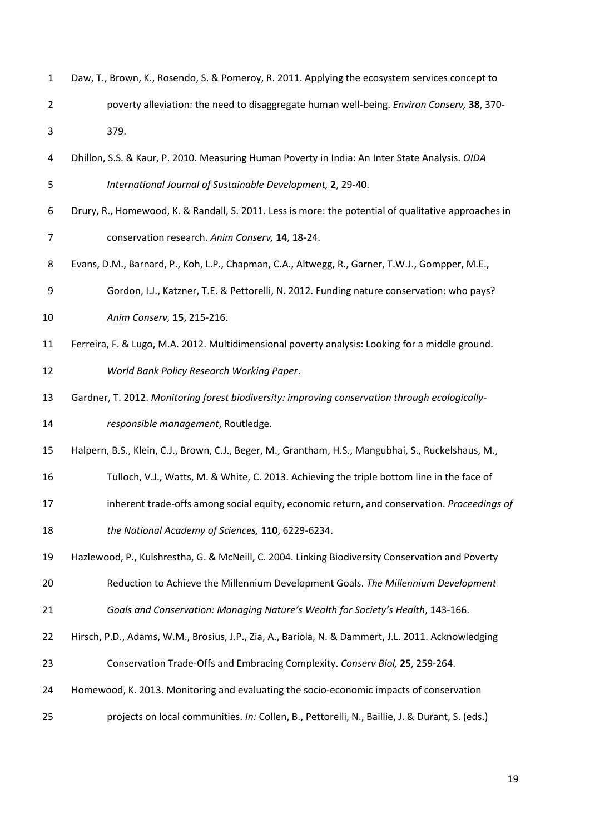<span id="page-18-9"></span><span id="page-18-8"></span><span id="page-18-7"></span><span id="page-18-6"></span><span id="page-18-5"></span><span id="page-18-4"></span><span id="page-18-3"></span><span id="page-18-2"></span><span id="page-18-1"></span><span id="page-18-0"></span>

| $\mathbf{1}$   | Daw, T., Brown, K., Rosendo, S. & Pomeroy, R. 2011. Applying the ecosystem services concept to       |
|----------------|------------------------------------------------------------------------------------------------------|
| $\overline{2}$ | poverty alleviation: the need to disaggregate human well-being. Environ Conserv, 38, 370-            |
| 3              | 379.                                                                                                 |
| 4              | Dhillon, S.S. & Kaur, P. 2010. Measuring Human Poverty in India: An Inter State Analysis. OIDA       |
| 5              | International Journal of Sustainable Development, 2, 29-40.                                          |
| 6              | Drury, R., Homewood, K. & Randall, S. 2011. Less is more: the potential of qualitative approaches in |
| $\overline{7}$ | conservation research. Anim Conserv, 14, 18-24.                                                      |
| 8              | Evans, D.M., Barnard, P., Koh, L.P., Chapman, C.A., Altwegg, R., Garner, T.W.J., Gompper, M.E.,      |
| 9              | Gordon, I.J., Katzner, T.E. & Pettorelli, N. 2012. Funding nature conservation: who pays?            |
| 10             | Anim Conserv, 15, 215-216.                                                                           |
| 11             | Ferreira, F. & Lugo, M.A. 2012. Multidimensional poverty analysis: Looking for a middle ground.      |
| 12             | World Bank Policy Research Working Paper.                                                            |
| 13             | Gardner, T. 2012. Monitoring forest biodiversity: improving conservation through ecologically-       |
| 14             | responsible management, Routledge.                                                                   |
| 15             | Halpern, B.S., Klein, C.J., Brown, C.J., Beger, M., Grantham, H.S., Mangubhai, S., Ruckelshaus, M.,  |
| 16             | Tulloch, V.J., Watts, M. & White, C. 2013. Achieving the triple bottom line in the face of           |
| 17             | inherent trade-offs among social equity, economic return, and conservation. Proceedings of           |
| 18             | the National Academy of Sciences, 110, 6229-6234.                                                    |
| 19             | Hazlewood, P., Kulshrestha, G. & McNeill, C. 2004. Linking Biodiversity Conservation and Poverty     |
| 20             | Reduction to Achieve the Millennium Development Goals. The Millennium Development                    |
| 21             | Goals and Conservation: Managing Nature's Wealth for Society's Health, 143-166.                      |
| 22             | Hirsch, P.D., Adams, W.M., Brosius, J.P., Zia, A., Bariola, N. & Dammert, J.L. 2011. Acknowledging   |
| 23             | Conservation Trade-Offs and Embracing Complexity. Conserv Biol, 25, 259-264.                         |
| 24             | Homewood, K. 2013. Monitoring and evaluating the socio-economic impacts of conservation              |
| 25             | projects on local communities. In: Collen, B., Pettorelli, N., Baillie, J. & Durant, S. (eds.)       |
|                |                                                                                                      |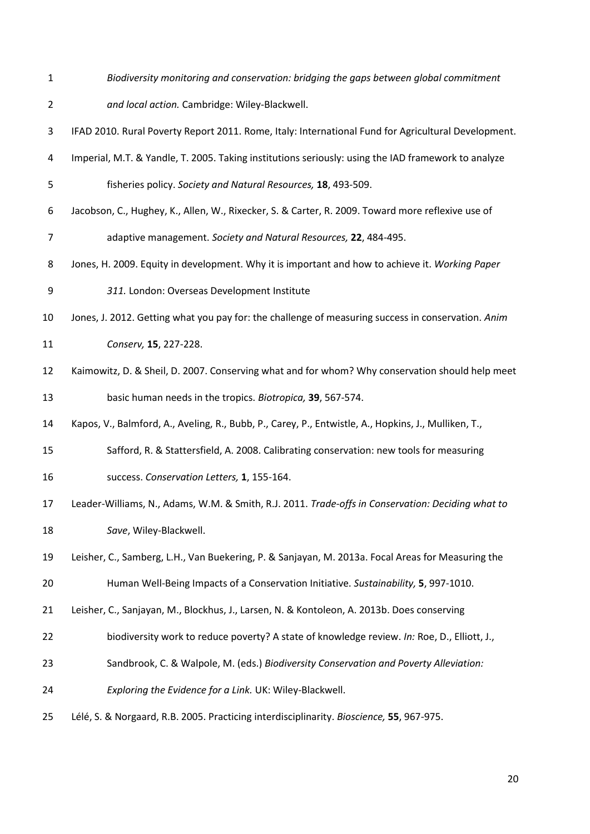*Biodiversity monitoring and conservation: bridging the gaps between global commitment* 

*and local action.* Cambridge: Wiley-Blackwell.

<span id="page-19-0"></span>IFAD 2010. Rural Poverty Report 2011. Rome, Italy: International Fund for Agricultural Development.

- <span id="page-19-10"></span>Imperial, M.T. & Yandle, T. 2005. Taking institutions seriously: using the IAD framework to analyze
- fisheries policy. *Society and Natural Resources,* **18**, 493-509.
- <span id="page-19-8"></span> Jacobson, C., Hughey, K., Allen, W., Rixecker, S. & Carter, R. 2009. Toward more reflexive use of adaptive management. *Society and Natural Resources,* **22**, 484-495.
- <span id="page-19-6"></span>Jones, H. 2009. Equity in development. Why it is important and how to achieve it. *Working Paper*
- *311.* London: Overseas Development Institute
- <span id="page-19-9"></span>Jones, J. 2012. Getting what you pay for: the challenge of measuring success in conservation. *Anim*

*Conserv,* **15**, 227-228.

- <span id="page-19-2"></span> Kaimowitz, D. & Sheil, D. 2007. Conserving what and for whom? Why conservation should help meet basic human needs in the tropics. *Biotropica,* **39**, 567-574.
- <span id="page-19-4"></span>Kapos, V., Balmford, A., Aveling, R., Bubb, P., Carey, P., Entwistle, A., Hopkins, J., Mulliken, T.,
- Safford, R. & Stattersfield, A. 2008. Calibrating conservation: new tools for measuring success. *Conservation Letters,* **1**, 155-164.
- <span id="page-19-1"></span>Leader-Williams, N., Adams, W.M. & Smith, R.J. 2011. *Trade-offs in Conservation: Deciding what to*
- *Save*, Wiley-Blackwell.
- <span id="page-19-5"></span> Leisher, C., Samberg, L.H., Van Buekering, P. & Sanjayan, M. 2013a. Focal Areas for Measuring the Human Well-Being Impacts of a Conservation Initiative. *Sustainability,* **5**, 997-1010.

- <span id="page-19-3"></span>Leisher, C., Sanjayan, M., Blockhus, J., Larsen, N. & Kontoleon, A. 2013b. Does conserving
- biodiversity work to reduce poverty? A state of knowledge review. *In:* Roe, D., Elliott, J.,
- Sandbrook, C. & Walpole, M. (eds.) *Biodiversity Conservation and Poverty Alleviation:*
- *Exploring the Evidence for a Link.* UK: Wiley-Blackwell.
- <span id="page-19-7"></span>Lélé, S. & Norgaard, R.B. 2005. Practicing interdisciplinarity. *Bioscience,* **55**, 967-975.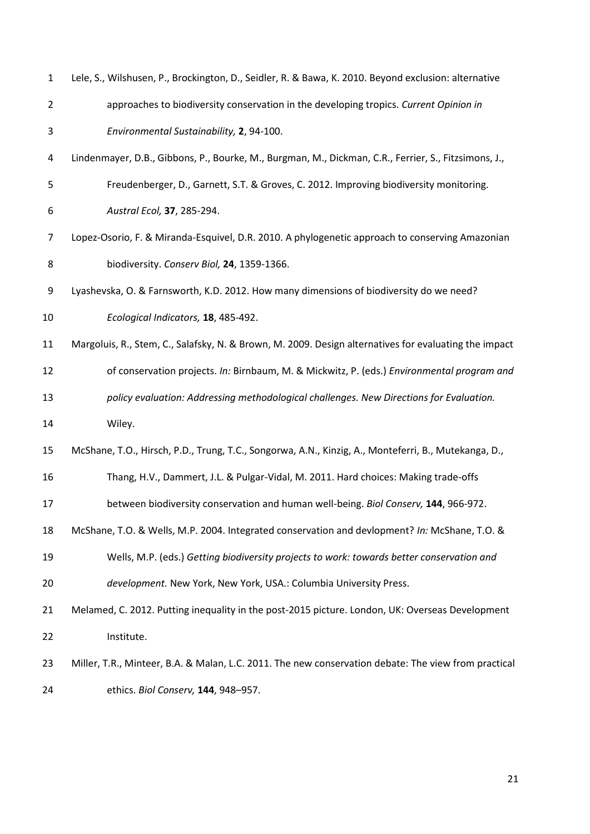<span id="page-20-8"></span><span id="page-20-7"></span><span id="page-20-6"></span><span id="page-20-5"></span><span id="page-20-4"></span><span id="page-20-3"></span><span id="page-20-2"></span><span id="page-20-1"></span><span id="page-20-0"></span>

| $\mathbf{1}$   | Lele, S., Wilshusen, P., Brockington, D., Seidler, R. & Bawa, K. 2010. Beyond exclusion: alternative  |
|----------------|-------------------------------------------------------------------------------------------------------|
| $\overline{2}$ | approaches to biodiversity conservation in the developing tropics. Current Opinion in                 |
| 3              | Environmental Sustainability, 2, 94-100.                                                              |
| 4              | Lindenmayer, D.B., Gibbons, P., Bourke, M., Burgman, M., Dickman, C.R., Ferrier, S., Fitzsimons, J.,  |
| 5              | Freudenberger, D., Garnett, S.T. & Groves, C. 2012. Improving biodiversity monitoring.                |
| 6              | Austral Ecol, 37, 285-294.                                                                            |
| 7              | Lopez-Osorio, F. & Miranda-Esquivel, D.R. 2010. A phylogenetic approach to conserving Amazonian       |
| 8              | biodiversity. Conserv Biol, 24, 1359-1366.                                                            |
| 9              | Lyashevska, O. & Farnsworth, K.D. 2012. How many dimensions of biodiversity do we need?               |
| 10             | Ecological Indicators, 18, 485-492.                                                                   |
| 11             | Margoluis, R., Stem, C., Salafsky, N. & Brown, M. 2009. Design alternatives for evaluating the impact |
| 12             | of conservation projects. In: Birnbaum, M. & Mickwitz, P. (eds.) Environmental program and            |
| 13             | policy evaluation: Addressing methodological challenges. New Directions for Evaluation.               |
| 14             | Wiley.                                                                                                |
| 15             | McShane, T.O., Hirsch, P.D., Trung, T.C., Songorwa, A.N., Kinzig, A., Monteferri, B., Mutekanga, D.,  |
| 16             | Thang, H.V., Dammert, J.L. & Pulgar-Vidal, M. 2011. Hard choices: Making trade-offs                   |
| 17             | between biodiversity conservation and human well-being. Biol Conserv, 144, 966-972.                   |
| 18             | McShane, T.O. & Wells, M.P. 2004. Integrated conservation and devlopment? In: McShane, T.O. &         |
| 19             | Wells, M.P. (eds.) Getting biodiversity projects to work: towards better conservation and             |
| 20             | development. New York, New York, USA.: Columbia University Press.                                     |
| 21             | Melamed, C. 2012. Putting inequality in the post-2015 picture. London, UK: Overseas Development       |
| 22             | Institute.                                                                                            |
| 23             | Miller, T.R., Minteer, B.A. & Malan, L.C. 2011. The new conservation debate: The view from practical  |
| 24             | ethics. Biol Conserv, 144, 948-957.                                                                   |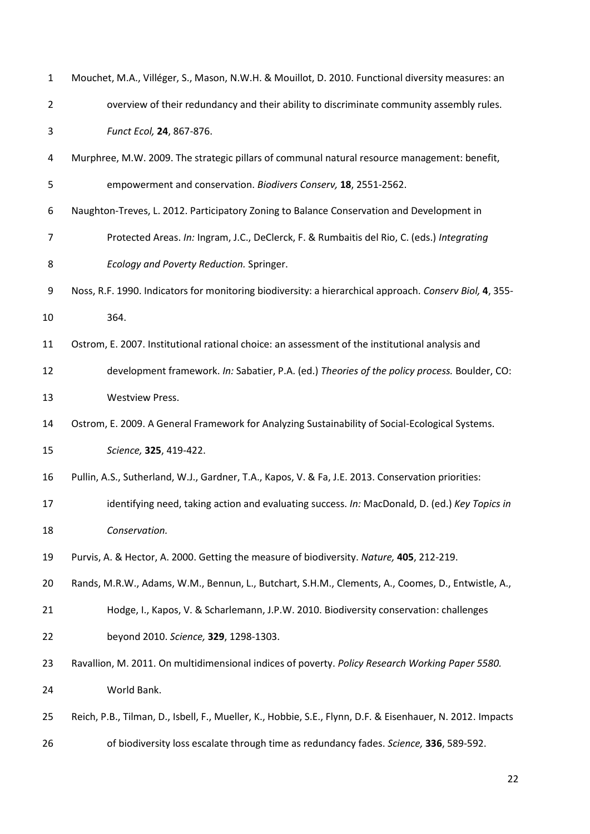<span id="page-21-10"></span><span id="page-21-9"></span><span id="page-21-8"></span><span id="page-21-7"></span><span id="page-21-6"></span><span id="page-21-5"></span><span id="page-21-4"></span><span id="page-21-3"></span><span id="page-21-2"></span><span id="page-21-1"></span><span id="page-21-0"></span>

| $\mathbf{1}$   | Mouchet, M.A., Villéger, S., Mason, N.W.H. & Mouillot, D. 2010. Functional diversity measures: an          |  |  |
|----------------|------------------------------------------------------------------------------------------------------------|--|--|
| $\overline{2}$ | overview of their redundancy and their ability to discriminate community assembly rules.                   |  |  |
| 3              | Funct Ecol, 24, 867-876.                                                                                   |  |  |
| 4              | Murphree, M.W. 2009. The strategic pillars of communal natural resource management: benefit,               |  |  |
| 5              | empowerment and conservation. Biodivers Conserv, 18, 2551-2562.                                            |  |  |
| 6              | Naughton-Treves, L. 2012. Participatory Zoning to Balance Conservation and Development in                  |  |  |
| $\overline{7}$ | Protected Areas. In: Ingram, J.C., DeClerck, F. & Rumbaitis del Rio, C. (eds.) Integrating                 |  |  |
| 8              | Ecology and Poverty Reduction. Springer.                                                                   |  |  |
| 9              | Noss, R.F. 1990. Indicators for monitoring biodiversity: a hierarchical approach. Conserv Biol, 4, 355-    |  |  |
| 10             | 364.                                                                                                       |  |  |
| 11             | Ostrom, E. 2007. Institutional rational choice: an assessment of the institutional analysis and            |  |  |
| 12             | development framework. In: Sabatier, P.A. (ed.) Theories of the policy process. Boulder, CO:               |  |  |
| 13             | <b>Westview Press.</b>                                                                                     |  |  |
| 14             | Ostrom, E. 2009. A General Framework for Analyzing Sustainability of Social-Ecological Systems.            |  |  |
| 15             | Science, 325, 419-422.                                                                                     |  |  |
| 16             | Pullin, A.S., Sutherland, W.J., Gardner, T.A., Kapos, V. & Fa, J.E. 2013. Conservation priorities:         |  |  |
| 17             | identifying need, taking action and evaluating success. In: MacDonald, D. (ed.) Key Topics in              |  |  |
| 18             | Conservation.                                                                                              |  |  |
| 19             | Purvis, A. & Hector, A. 2000. Getting the measure of biodiversity. Nature, 405, 212-219.                   |  |  |
| 20             | Rands, M.R.W., Adams, W.M., Bennun, L., Butchart, S.H.M., Clements, A., Coomes, D., Entwistle, A.,         |  |  |
| 21             | Hodge, I., Kapos, V. & Scharlemann, J.P.W. 2010. Biodiversity conservation: challenges                     |  |  |
| 22             | beyond 2010. Science, 329, 1298-1303.                                                                      |  |  |
| 23             | Ravallion, M. 2011. On multidimensional indices of poverty. Policy Research Working Paper 5580.            |  |  |
| 24             | World Bank.                                                                                                |  |  |
| 25             | Reich, P.B., Tilman, D., Isbell, F., Mueller, K., Hobbie, S.E., Flynn, D.F. & Eisenhauer, N. 2012. Impacts |  |  |
| 26             | of biodiversity loss escalate through time as redundancy fades. Science, 336, 589-592.                     |  |  |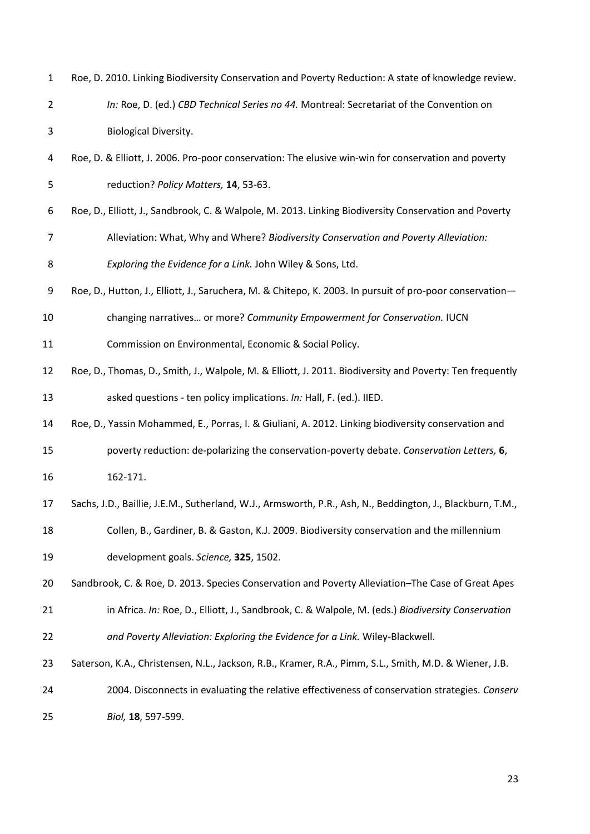<span id="page-22-8"></span><span id="page-22-7"></span><span id="page-22-6"></span><span id="page-22-5"></span><span id="page-22-4"></span><span id="page-22-3"></span><span id="page-22-2"></span><span id="page-22-1"></span><span id="page-22-0"></span>

| $\mathbf 1$    | Roe, D. 2010. Linking Biodiversity Conservation and Poverty Reduction: A state of knowledge review.        |
|----------------|------------------------------------------------------------------------------------------------------------|
| $\overline{2}$ | In: Roe, D. (ed.) CBD Technical Series no 44. Montreal: Secretariat of the Convention on                   |
| 3              | <b>Biological Diversity.</b>                                                                               |
| 4              | Roe, D. & Elliott, J. 2006. Pro-poor conservation: The elusive win-win for conservation and poverty        |
| 5              | reduction? Policy Matters, 14, 53-63.                                                                      |
| 6              | Roe, D., Elliott, J., Sandbrook, C. & Walpole, M. 2013. Linking Biodiversity Conservation and Poverty      |
| $\overline{7}$ | Alleviation: What, Why and Where? Biodiversity Conservation and Poverty Alleviation:                       |
| 8              | Exploring the Evidence for a Link. John Wiley & Sons, Ltd.                                                 |
| 9              | Roe, D., Hutton, J., Elliott, J., Saruchera, M. & Chitepo, K. 2003. In pursuit of pro-poor conservation-   |
| 10             | changing narratives or more? Community Empowerment for Conservation. IUCN                                  |
| 11             | Commission on Environmental, Economic & Social Policy.                                                     |
| 12             | Roe, D., Thomas, D., Smith, J., Walpole, M. & Elliott, J. 2011. Biodiversity and Poverty: Ten frequently   |
| 13             | asked questions - ten policy implications. In: Hall, F. (ed.). IIED.                                       |
| 14             | Roe, D., Yassin Mohammed, E., Porras, I. & Giuliani, A. 2012. Linking biodiversity conservation and        |
| 15             | poverty reduction: de-polarizing the conservation-poverty debate. Conservation Letters, 6,                 |
| 16             | 162-171.                                                                                                   |
| 17             | Sachs, J.D., Baillie, J.E.M., Sutherland, W.J., Armsworth, P.R., Ash, N., Beddington, J., Blackburn, T.M., |
| 18             | Collen, B., Gardiner, B. & Gaston, K.J. 2009. Biodiversity conservation and the millennium                 |
| 19             | development goals. Science, 325, 1502.                                                                     |
| 20             | Sandbrook, C. & Roe, D. 2013. Species Conservation and Poverty Alleviation-The Case of Great Apes          |
| 21             | in Africa. In: Roe, D., Elliott, J., Sandbrook, C. & Walpole, M. (eds.) Biodiversity Conservation          |
| 22             | and Poverty Alleviation: Exploring the Evidence for a Link. Wiley-Blackwell.                               |
| 23             | Saterson, K.A., Christensen, N.L., Jackson, R.B., Kramer, R.A., Pimm, S.L., Smith, M.D. & Wiener, J.B.     |
| 24             | 2004. Disconnects in evaluating the relative effectiveness of conservation strategies. Conserv             |
| 25             | Biol, 18, 597-599.                                                                                         |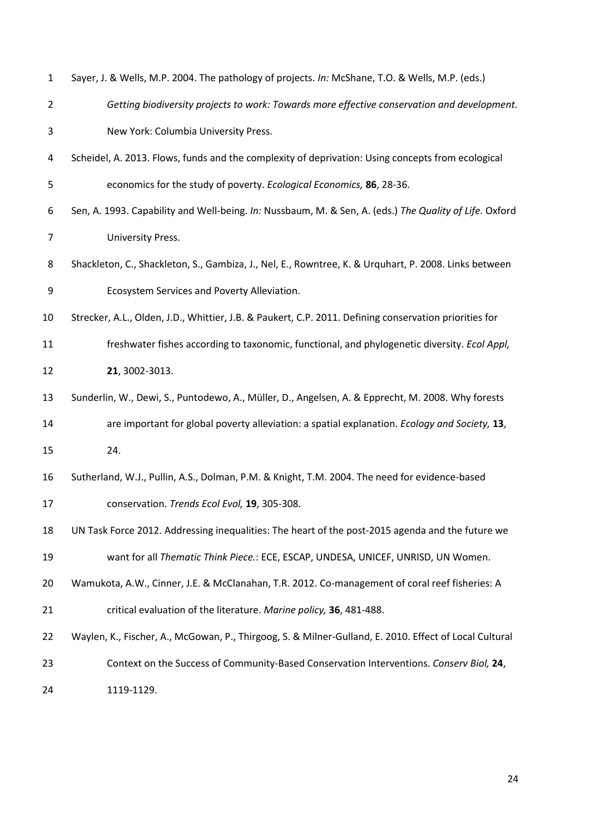<span id="page-23-9"></span><span id="page-23-8"></span><span id="page-23-7"></span><span id="page-23-6"></span><span id="page-23-5"></span><span id="page-23-4"></span><span id="page-23-3"></span><span id="page-23-2"></span><span id="page-23-1"></span><span id="page-23-0"></span>

| $\mathbf{1}$   | Sayer, J. & Wells, M.P. 2004. The pathology of projects. In: McShane, T.O. & Wells, M.P. (eds.)        |
|----------------|--------------------------------------------------------------------------------------------------------|
| $\overline{2}$ | Getting biodiversity projects to work: Towards more effective conservation and development.            |
| 3              | New York: Columbia University Press.                                                                   |
| 4              | Scheidel, A. 2013. Flows, funds and the complexity of deprivation: Using concepts from ecological      |
| 5              | economics for the study of poverty. Ecological Economics, 86, 28-36.                                   |
| 6              | Sen, A. 1993. Capability and Well-being. In: Nussbaum, M. & Sen, A. (eds.) The Quality of Life. Oxford |
| $\overline{7}$ | University Press.                                                                                      |
| 8              | Shackleton, C., Shackleton, S., Gambiza, J., Nel, E., Rowntree, K. & Urquhart, P. 2008. Links between  |
| 9              | Ecosystem Services and Poverty Alleviation.                                                            |
| 10             | Strecker, A.L., Olden, J.D., Whittier, J.B. & Paukert, C.P. 2011. Defining conservation priorities for |
| 11             | freshwater fishes according to taxonomic, functional, and phylogenetic diversity. Ecol Appl,           |
| 12             | 21, 3002-3013.                                                                                         |
| 13             | Sunderlin, W., Dewi, S., Puntodewo, A., Müller, D., Angelsen, A. & Epprecht, M. 2008. Why forests      |
| 14             | are important for global poverty alleviation: a spatial explanation. Ecology and Society, 13,          |
| 15             | 24.                                                                                                    |
| 16             | Sutherland, W.J., Pullin, A.S., Dolman, P.M. & Knight, T.M. 2004. The need for evidence-based          |
| 17             | conservation. Trends Ecol Evol, 19, 305-308.                                                           |
| 18             | UN Task Force 2012. Addressing inequalities: The heart of the post-2015 agenda and the future we       |
| 19             | want for all Thematic Think Piece.: ECE, ESCAP, UNDESA, UNICEF, UNRISD, UN Women.                      |
| 20             | Wamukota, A.W., Cinner, J.E. & McClanahan, T.R. 2012. Co-management of coral reef fisheries: A         |
| 21             | critical evaluation of the literature. Marine policy, 36, 481-488.                                     |
| 22             | Waylen, K., Fischer, A., McGowan, P., Thirgoog, S. & Milner-Gulland, E. 2010. Effect of Local Cultural |
| 23             | Context on the Success of Community-Based Conservation Interventions. Conserv Biol, 24,                |
| 24             | 1119-1129.                                                                                             |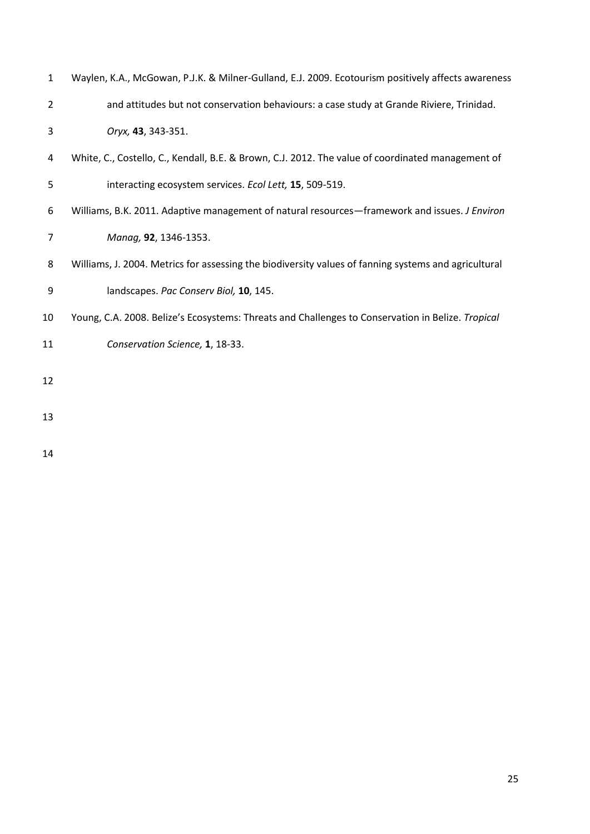<span id="page-24-4"></span><span id="page-24-3"></span><span id="page-24-2"></span><span id="page-24-1"></span><span id="page-24-0"></span>

| $\mathbf{1}$   | Waylen, K.A., McGowan, P.J.K. & Milner-Gulland, E.J. 2009. Ecotourism positively affects awareness   |  |  |
|----------------|------------------------------------------------------------------------------------------------------|--|--|
| $\overline{2}$ | and attitudes but not conservation behaviours: a case study at Grande Riviere, Trinidad.             |  |  |
| 3              | Oryx, 43, 343-351.                                                                                   |  |  |
| 4              | White, C., Costello, C., Kendall, B.E. & Brown, C.J. 2012. The value of coordinated management of    |  |  |
| 5              | interacting ecosystem services. Ecol Lett, 15, 509-519.                                              |  |  |
| 6              | Williams, B.K. 2011. Adaptive management of natural resources-framework and issues. J Environ        |  |  |
| 7              | Manag, 92, 1346-1353.                                                                                |  |  |
| 8              | Williams, J. 2004. Metrics for assessing the biodiversity values of fanning systems and agricultural |  |  |
| 9              | landscapes. Pac Conserv Biol, 10, 145.                                                               |  |  |
| 10             | Young, C.A. 2008. Belize's Ecosystems: Threats and Challenges to Conservation in Belize. Tropical    |  |  |
| 11             | Conservation Science, 1, 18-33.                                                                      |  |  |
| 12             |                                                                                                      |  |  |
| 13             |                                                                                                      |  |  |
|                |                                                                                                      |  |  |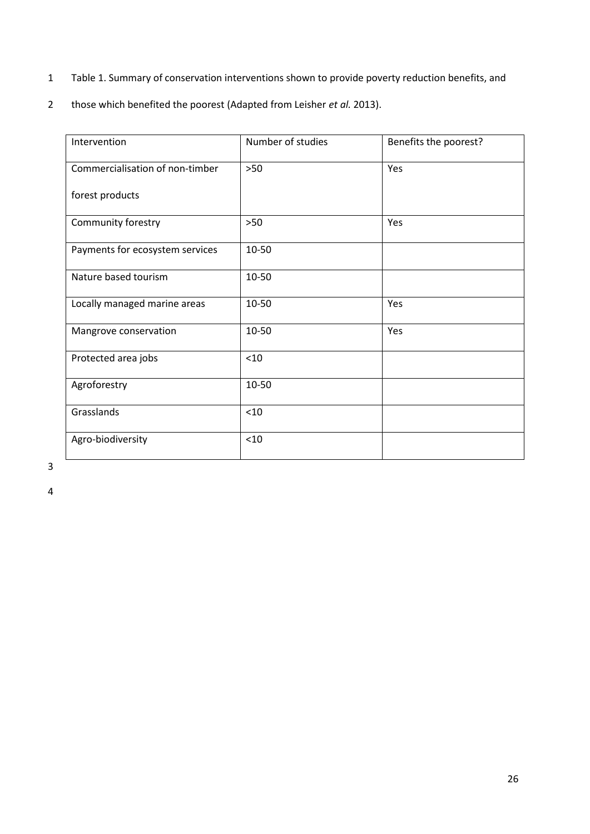- 1 Table 1. Summary of conservation interventions shown to provide poverty reduction benefits, and
- 2 those which benefited the poorest (Adapted from Leisher *et al.* 2013).

| Intervention                    | Number of studies | Benefits the poorest? |
|---------------------------------|-------------------|-----------------------|
| Commercialisation of non-timber | $>50$             | Yes                   |
| forest products                 |                   |                       |
| Community forestry              | $>50$             | Yes                   |
| Payments for ecosystem services | 10-50             |                       |
| Nature based tourism            | 10-50             |                       |
| Locally managed marine areas    | 10-50             | <b>Yes</b>            |
| Mangrove conservation           | 10-50             | Yes                   |
| Protected area jobs             | < 10              |                       |
| Agroforestry                    | 10-50             |                       |
| Grasslands                      | $<$ 10            |                       |
| Agro-biodiversity               | < 10              |                       |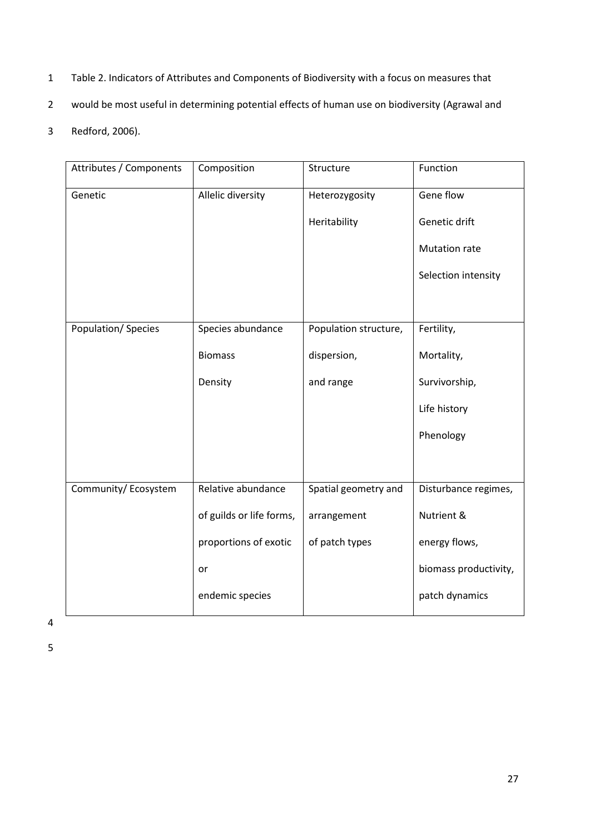- 1 Table 2. Indicators of Attributes and Components of Biodiversity with a focus on measures that
- 2 would be most useful in determining potential effects of human use on biodiversity [\(Agrawal and](#page-16-7)
- 3 [Redford, 2006\)](#page-16-7).

| Attributes / Components | Composition              | Structure             | Function              |
|-------------------------|--------------------------|-----------------------|-----------------------|
| Genetic                 | Allelic diversity        | Heterozygosity        | Gene flow             |
|                         |                          | Heritability          | Genetic drift         |
|                         |                          |                       | Mutation rate         |
|                         |                          |                       | Selection intensity   |
|                         |                          |                       |                       |
| Population/Species      | Species abundance        | Population structure, | Fertility,            |
|                         | <b>Biomass</b>           | dispersion,           | Mortality,            |
|                         | Density                  | and range             | Survivorship,         |
|                         |                          |                       | Life history          |
|                         |                          |                       | Phenology             |
|                         |                          |                       |                       |
| Community/Ecosystem     | Relative abundance       | Spatial geometry and  | Disturbance regimes,  |
|                         | of guilds or life forms, | arrangement           | Nutrient &            |
|                         | proportions of exotic    | of patch types        | energy flows,         |
|                         | or                       |                       | biomass productivity, |
|                         | endemic species          |                       | patch dynamics        |